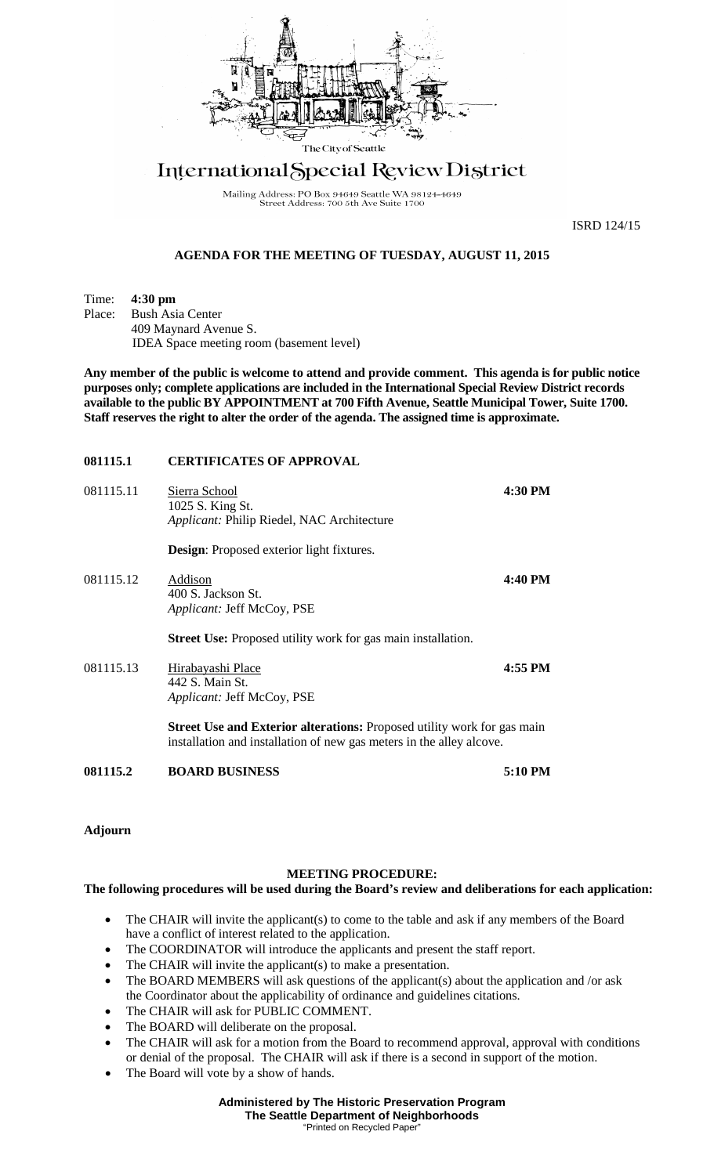

# International Special Review District

Mailing Address: PO Box 94649 Seattle WA 98124-4649<br>Street Address: 700 5th Ave Suite 1700

ISRD 124/15

## **AGENDA FOR THE MEETING OF TUESDAY, AUGUST 11, 2015**

Time: **4:30 pm**<br>Place: Bush Asi

**Bush Asia Center** 409 Maynard Avenue S. IDEA Space meeting room (basement level)

**Any member of the public is welcome to attend and provide comment. This agenda is for public notice purposes only; complete applications are included in the International Special Review District records available to the public BY APPOINTMENT at 700 Fifth Avenue, Seattle Municipal Tower, Suite 1700. Staff reserves the right to alter the order of the agenda. The assigned time is approximate.** 

## **081115.1 CERTIFICATES OF APPROVAL**

| 081115.2  | <b>BOARD BUSINESS</b>                                                                                                                                  | 5:10 PM |
|-----------|--------------------------------------------------------------------------------------------------------------------------------------------------------|---------|
|           | <b>Street Use and Exterior alterations:</b> Proposed utility work for gas main<br>installation and installation of new gas meters in the alley alcove. |         |
| 081115.13 | Hirabayashi Place<br>442 S. Main St.<br>Applicant: Jeff McCoy, PSE                                                                                     | 4:55 PM |
|           | <b>Street Use:</b> Proposed utility work for gas main installation.                                                                                    |         |
| 081115.12 | Addison<br>400 S. Jackson St.<br>Applicant: Jeff McCoy, PSE                                                                                            | 4:40 PM |
|           | <b>Design:</b> Proposed exterior light fixtures.                                                                                                       |         |
| 081115.11 | Sierra School<br>1025 S. King St.<br>Applicant: Philip Riedel, NAC Architecture                                                                        | 4:30 PM |

**Adjourn**

### **MEETING PROCEDURE:**

### **The following procedures will be used during the Board's review and deliberations for each application:**

- The CHAIR will invite the applicant(s) to come to the table and ask if any members of the Board have a conflict of interest related to the application.
- The COORDINATOR will introduce the applicants and present the staff report.
- The CHAIR will invite the applicant(s) to make a presentation.
- The BOARD MEMBERS will ask questions of the applicant(s) about the application and /or ask the Coordinator about the applicability of ordinance and guidelines citations.
- The CHAIR will ask for PUBLIC COMMENT.
- The BOARD will deliberate on the proposal.
- The CHAIR will ask for a motion from the Board to recommend approval, approval with conditions or denial of the proposal. The CHAIR will ask if there is a second in support of the motion.
- The Board will vote by a show of hands.

**Administered by The Historic Preservation Program The Seattle Department of Neighborhoods** "Printed on Recycled Paper"